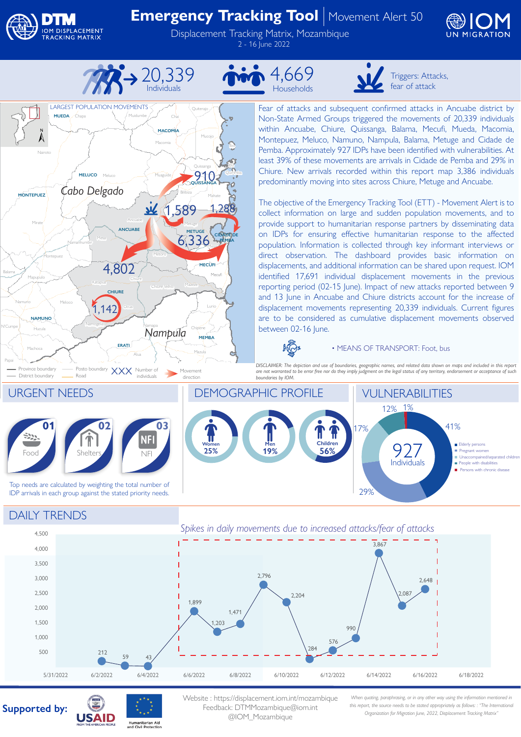

Nairoto

Mirate

**MONTEPUEZ**

Mapupulo

Montepuez

District boundary

Machoca

Papai

N'Cumpe

Balama

**Hucula** 

**NAMUNO**

**LARGEST POPULATION MOVEMENTS** 

**MUEDA**

Chapa

**MELUCO**

*Cabo Delgado*

## **Emergency Tracking Tool** | Movement Alert 50

Displacement Tracking Matrix, Mozambique 2 - 16 June 2022





Muidumbe

Ch<sup>1</sup>

Macomia

**MACOMIA**

Muaguide

Ancuabe

**ANCUABE**

Chiure

Alua

**ERATI**

Namapa

Metoro

 $\mathcal{U}$ 

Chiure Velho

*Nampula*

Mazula

**MEMBA**

Chipene

Metuge

**METUGE**

6,336

Mazeze

Bilibiza Mahate

1,589 1,288

Mieze

**MECUFI**

**CIDADE DE PEMBA**

Quissanga

**910** 

Mucojo

Ibo

Quirimba

Quiterajo

Meluco

Mesa

Namanhumbir

Katapua

Meloco  $1,142$ 

Namogelia

Namuno Meloco (1111) Ocua

Province boundary - Posto boundary  $XXX$  Number of Movement District boundary - Road

**CHIURE**

4,802







Triggers: Attacks, fear of attack

Fear of attacks and subsequent confirmed attacks in Ancuabe district by Non-State Armed Groups triggered the movements of 20,339 individuals within Ancuabe, Chiure, Quissanga, Balama, Mecufi, Mueda, Macomia, Montepuez, Meluco, Namuno, Nampula, Balama, Metuge and Cidade de Pemba. Approximately 927 IDPs have been identified with vulnerabilities. At least 39% of these movements are arrivals in Cidade de Pemba and 29% in Chiure. New arrivals recorded within this report map 3,386 individuals predominantly moving into sites across Chiure, Metuge and Ancuabe.

The objective of the Emergency Tracking Tool (ETT) - Movement Alert is to collect information on large and sudden population movements, and to provide support to humanitarian response partners by disseminating data on IDPs for ensuring effective humanitarian response to the affected population. Information is collected through key informant interviews or direct observation. The dashboard provides basic information on displacements, and additional information can be shared upon request. IOM identified 17,691 individual displacement movements in the previous reporting period (02-15 June). Impact of new attacks reported between 9 and 13 June in Ancuabe and Chiure districts account for the increase of displacement movements representing 20,339 individuals. Current figures are to be considered as cumulative displacement movements observed between 02-16 June.

 $\sqrt{2}$ 

• MEANS OF TRANSPORT: Foot, bus

*DISCLAIMER: The depiction and use of boundaries, geographic names, and related data shown on maps and included in this report are not warranted to be error free nor do they imply judgment on the legal status of any territory, endorsement or acceptance of such boundaries by IOM.* 



## DAILY TRENDS



## **Supported by:**



Website : https://displacement.iom.int/mozambique Feedback: DTMMozambique@iom.int @IOM\_Mozambique

*When quoting, paraphrasing, or in any other way using the information mentioned in this report, the source needs to be stated appropriately as follows: : "The International Organization for Migration June, 2022, Displacement Tracking Matrix"*